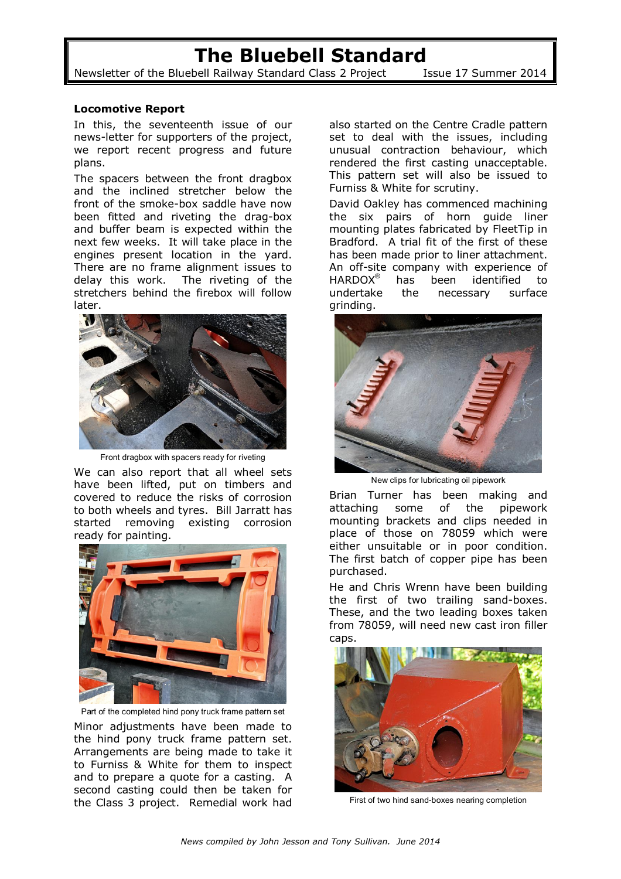## **The Bluebell Standard**

Newsletter of the Bluebell Railway Standard Class 2 Project Issue 17 Summer 2014

## **Locomotive Report**

In this, the seventeenth issue of our news-letter for supporters of the project, we report recent progress and future plans.

The spacers between the front dragbox and the inclined stretcher below the front of the smoke-box saddle have now been fitted and riveting the drag-box and buffer beam is expected within the next few weeks. It will take place in the engines present location in the yard. There are no frame alignment issues to delay this work. The riveting of the stretchers behind the firebox will follow later.



Front dragbox with spacers ready for riveting

We can also report that all wheel sets have been lifted, put on timbers and covered to reduce the risks of corrosion to both wheels and tyres. Bill Jarratt has started removing existing corrosion ready for painting.



Part of the completed hind pony truck frame pattern set

Minor adjustments have been made to the hind pony truck frame pattern set. Arrangements are being made to take it to Furniss & White for them to inspect and to prepare a quote for a casting. A second casting could then be taken for the Class 3 project. Remedial work had

also started on the Centre Cradle pattern set to deal with the issues, including unusual contraction behaviour, which rendered the first casting unacceptable. This pattern set will also be issued to Furniss & White for scrutiny.

David Oakley has commenced machining the six pairs of horn guide liner mounting plates fabricated by FleetTip in Bradford. A trial fit of the first of these has been made prior to liner attachment. An off-site company with experience of HARDOX<sup>®</sup> has been identified to undertake the necessary surface grinding.



New clips for lubricating oil pipework

Brian Turner has been making and attaching some of the pipework mounting brackets and clips needed in place of those on 78059 which were either unsuitable or in poor condition. The first batch of copper pipe has been purchased.

He and Chris Wrenn have been building the first of two trailing sand-boxes. These, and the two leading boxes taken from 78059, will need new cast iron filler caps.



First of two hind sand-boxes nearing completion